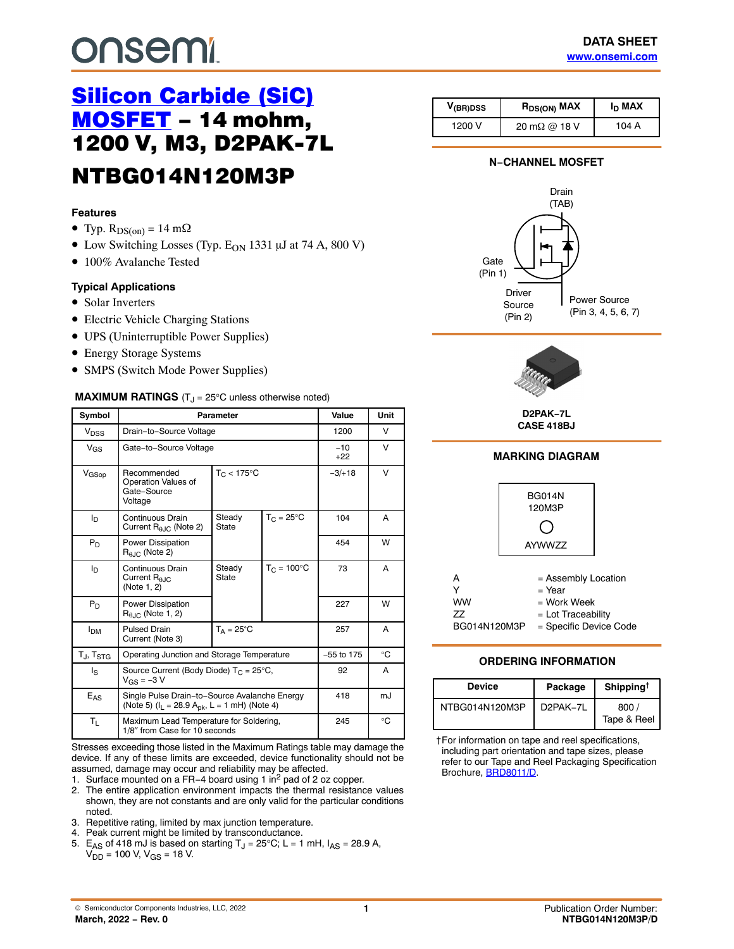# <span id="page-0-0"></span>**onsemi**

# [Silicon Carbide \(SiC\)](https://www.onsemi.com/products/discrete-power-modules/silicon-carbide-sic/silicon-carbide-sic-mosfets) [MOSFET](https://www.onsemi.com/products/discrete-power-modules/silicon-carbide-sic/silicon-carbide-sic-mosfets) - 14 mohm. 1200-V, M3, D2PAK-7L NTBG014N120M3P

#### **Features**

- Typ.  $R_{DS(on)} = 14$  m $\Omega$
- Low Switching Losses (Typ.  $E_{ON}$  1331  $\mu$ J at 74 A, 800 V)
- 100% Avalanche Tested

#### **Typical Applications**

- Solar Inverters
- Electric Vehicle Charging Stations
- UPS (Uninterruptible Power Supplies)
- Energy Storage Systems
- SMPS (Switch Mode Power Supplies)

#### **MAXIMUM RATINGS** (T<sub>J</sub> = 25°C unless otherwise noted)

| Symbol                      |                                                                          | <b>Parameter</b>                                                                                              |    | Value          | Unit        |         |   |
|-----------------------------|--------------------------------------------------------------------------|---------------------------------------------------------------------------------------------------------------|----|----------------|-------------|---------|---|
| V <sub>DSS</sub>            | Drain-to-Source Voltage                                                  |                                                                                                               |    | 1200           | V           |         |   |
| $V_{GS}$                    | Gate-to-Source Voltage                                                   |                                                                                                               |    | $-10$<br>$+22$ | V           |         |   |
| $V_{\text{GSop}}$           | Recommended<br>Operation Values of<br>Gate-Source<br>Voltage             | $T_C < 175$ °C                                                                                                |    |                |             | $-3/18$ | V |
| I <sub>D</sub>              | Continuous Drain<br>Current $R_{0,IC}$ (Note 2)                          | $T_C = 25^{\circ}C$<br>Steady<br>State                                                                        |    | 104            | A           |         |   |
| $P_D$                       | <b>Power Dissipation</b><br>$R_{0.IC}$ (Note 2)                          |                                                                                                               |    |                |             | 454     | W |
| Iр                          | Continuous Drain<br>Current $R_{A,IC}$<br>(Note 1, 2)                    | $T_C = 100^{\circ}C$<br>Steady<br>State                                                                       | 73 | A              |             |         |   |
| $P_D$                       | <b>Power Dissipation</b><br>$R_{\theta,IC}$ (Note 1, 2)                  |                                                                                                               |    | 227            | W           |         |   |
| <b>I<sub>DM</sub></b>       | <b>Pulsed Drain</b><br>Current (Note 3)                                  | $T_A = 25^{\circ}C$                                                                                           |    | 257            | A           |         |   |
| $T_{\sf J}$ , $T_{\sf STG}$ | Operating Junction and Storage Temperature                               |                                                                                                               |    | $-55$ to 175   | $^{\circ}C$ |         |   |
| ls                          | Source Current (Body Diode) $T_C = 25^{\circ}C$ ,<br>$V_{GS} = -3 V$     |                                                                                                               |    | 92             | A           |         |   |
| E <sub>AS</sub>             |                                                                          | Single Pulse Drain-to-Source Avalanche Energy<br>(Note 5) ( $I_L$ = 28.9 A <sub>pk</sub> , L = 1 mH) (Note 4) |    |                | mJ          |         |   |
| $T_{L}$                     | Maximum Lead Temperature for Soldering,<br>1/8" from Case for 10 seconds |                                                                                                               |    | 245            | $^{\circ}C$ |         |   |

Stresses exceeding those listed in the Maximum Ratings table may damage the device. If any of these limits are exceeded, device functionality should not be assumed, damage may occur and reliability may be affected.

- 1. Surface mounted on a FR−4 board using 1 in2 pad of 2 oz copper.
- 2. The entire application environment impacts the thermal resistance values shown, they are not constants and are only valid for the particular conditions noted.
- 3. Repetitive rating, limited by max junction temperature.
- 4. Peak current might be limited by transconductance.
- 5. E<sub>AS</sub> of 418 mJ is based on starting T<sub>J</sub> = 25°C; L = 1 mH,  $I_{AS}$  = 28.9 A,  $V_{DD} = 100$  V,  $V_{GS} = 18$  V.

| V <sub>(BR)DSS</sub> | R <sub>DS(ON)</sub> MAX                      | $I_{D}$ MAX |
|----------------------|----------------------------------------------|-------------|
| 1200 V               | $20 \text{ m}\Omega \text{ @ } 18 \text{ V}$ | 104 A       |

#### **N−CHANNEL MOSFET**





**D2PAK−7L CASE 418BJ**

#### **MARKING DIAGRAM**



#### **ORDERING INFORMATION**

| <b>Device</b>  | Package               | Shipping <sup><math>\dagger</math></sup> |
|----------------|-----------------------|------------------------------------------|
| NTBG014N120M3P | D <sub>2</sub> PAK-7L | 800<br>Tape & Reel                       |

†For information on tape and reel specifications, including part orientation and tape sizes, please refer to our Tape and Reel Packaging Specification Brochure, [BRD8011/D](https://www.onsemi.com/pub/collateral/brd8011-d.pdf).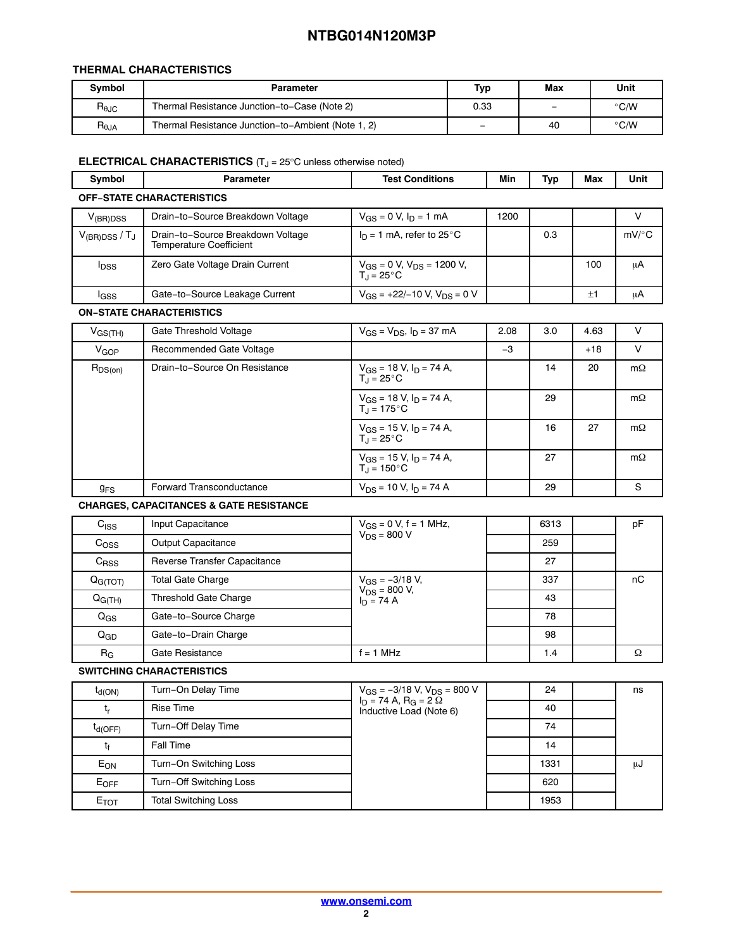#### **THERMAL CHARACTERISTICS**

| <b>Symbol</b>  | Parameter                                          | Тур  | Max | Unit          |
|----------------|----------------------------------------------------|------|-----|---------------|
| $R_{\theta$ JC | Thermal Resistance Junction-to-Case (Note 2)       | 0.33 | -   | $\degree$ C/W |
| $R_{\theta$ JA | Thermal Resistance Junction-to-Ambient (Note 1, 2) | -    | 40  | $\degree$ C/W |

#### **ELECTRICAL CHARACTERISTICS** (T<sub>J</sub> = 25°C unless otherwise noted)

| <b>Symbol</b>                    | Parameter                                                    | <b>Test Conditions</b>                                      | Min  | Typ | Max | Unit                |  |  |
|----------------------------------|--------------------------------------------------------------|-------------------------------------------------------------|------|-----|-----|---------------------|--|--|
| <b>OFF-STATE CHARACTERISTICS</b> |                                                              |                                                             |      |     |     |                     |  |  |
| $V_{(BR)DSS}$                    | Drain-to-Source Breakdown Voltage                            | $V_{GS} = 0$ V, $I_D = 1$ mA                                | 1200 |     |     |                     |  |  |
| $V_{\rm (BR)DSS}$ / $T_{\rm J}$  | Drain-to-Source Breakdown Voltage<br>Temperature Coefficient | $I_D = 1$ mA, refer to 25°C                                 |      | 0.3 |     | $mV$ <sup>o</sup> C |  |  |
| <b>I</b> <sub>DSS</sub>          | Zero Gate Voltage Drain Current                              | $V_{GS} = 0$ V, $V_{DS} = 1200$ V,<br>T <sub>J</sub> = 25°C |      |     | 100 | μA                  |  |  |
| <b>I</b> GSS                     | Gate-to-Source Leakage Current                               | $V_{GS}$ = +22/-10 V, $V_{DS}$ = 0 V                        |      |     | ±1  | μA                  |  |  |

#### **ON−STATE CHARACTERISTICS**

| $V_{GS(TH)}$          | Gate Threshold Voltage        | $V_{GS} = V_{DS}$ , $I_D = 37$ mA                                  | 2.08 | 3.0 | 4.63  | v         |
|-----------------------|-------------------------------|--------------------------------------------------------------------|------|-----|-------|-----------|
| V <sub>GOP</sub>      | Recommended Gate Voltage      |                                                                    | $-3$ |     | $+18$ | $\vee$    |
| $R_{DS(on)}$          | Drain-to-Source On Resistance | $V_{GS}$ = 18 V, $I_D$ = 74 A,<br>$T_1 = 25^{\circ}$ C             |      | 14  | 20    | $m\Omega$ |
|                       |                               | $V_{GS}$ = 18 V, $I_D$ = 74 A,<br>$T_1 = 175^{\circ}$ C            |      | 29  |       | $m\Omega$ |
|                       |                               | $V_{GS}$ = 15 V, $I_D$ = 74 A,<br>$T_{\text{d}}$ = 25 $^{\circ}$ C |      | 16  | 27    | $m\Omega$ |
|                       |                               | $V_{GS}$ = 15 V, $I_D$ = 74 A,<br>$T_1 = 150^{\circ}$ C            |      | 27  |       | $m\Omega$ |
| <b>g<sub>FS</sub></b> | Forward Transconductance      | $V_{DS}$ = 10 V, $I_D$ = 74 A                                      |      | 29  |       | S         |

**CHARGES, CAPACITANCES & GATE RESISTANCE**

| $C_{ISS}$           | Input Capacitance            | $V_{GS} = 0$ V, f = 1 MHz,        | 6313 | pF |
|---------------------|------------------------------|-----------------------------------|------|----|
| C <sub>OSS</sub>    | Output Capacitance           | $V_{DS} = 800 V$                  | 259  |    |
| $C_{RSS}$           | Reverse Transfer Capacitance |                                   | 27   |    |
| Q <sub>G(TOT)</sub> | <b>Total Gate Charge</b>     | $V_{GS} = -3/18 V,$               | 337  | пC |
| $Q_{G(TH)}$         | Threshold Gate Charge        | $V_{DS} = 800 V,$<br>$I_D = 74 A$ | 43   |    |
| $Q_{GS}$            | Gate-to-Source Charge        |                                   | 78   |    |
| $Q_{GD}$            | Gate-to-Drain Charge         |                                   | 98   |    |
| $R_G$               | Gate Resistance              | $= 1 MHz$                         | 1.4  | Ω  |

**SWITCHING CHARACTERISTICS**

| $t_{d(ON)}$     | Turn-On Delay Time          | $V_{GS} = -3/18$ V, $V_{DS} = 800$ V                       | 24   | ns |
|-----------------|-----------------------------|------------------------------------------------------------|------|----|
| t,              | <b>Rise Time</b>            | $I_D = 74 A$ , $R_G = 2 \Omega$<br>Inductive Load (Note 6) | 40   |    |
| $t_{d(OFF)}$    | Turn-Off Delay Time         |                                                            | 74   |    |
| tŧ              | Fall Time                   |                                                            | 14   |    |
| E <sub>ON</sub> | Turn-On Switching Loss      |                                                            | 1331 | աժ |
| EOFF            | Turn-Off Switching Loss     |                                                            | 620  |    |
| $E_{TOT}$       | <b>Total Switching Loss</b> |                                                            | 1953 |    |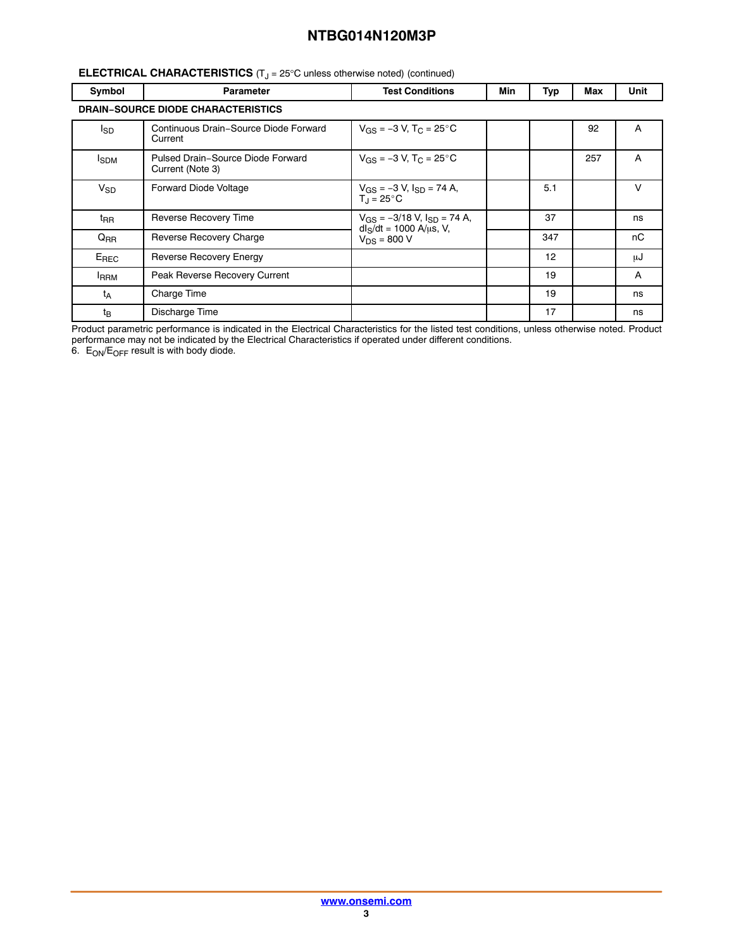#### <span id="page-2-0"></span>**ELECTRICAL CHARACTERISTICS** (T<sub>J</sub> = 25°C unless otherwise noted) (continued)

| Symbol                                    | <b>Parameter</b>                                      | <b>Test Conditions</b>                                                | Min | Typ | Max | Unit |  |  |
|-------------------------------------------|-------------------------------------------------------|-----------------------------------------------------------------------|-----|-----|-----|------|--|--|
| <b>DRAIN-SOURCE DIODE CHARACTERISTICS</b> |                                                       |                                                                       |     |     |     |      |  |  |
| l <sub>SD</sub>                           | Continuous Drain-Source Diode Forward<br>Current      | $V_{GS} = -3 V$ , T <sub>C</sub> = 25°C                               |     |     | 92  | A    |  |  |
| <b>I</b> SDM                              | Pulsed Drain-Source Diode Forward<br>Current (Note 3) | $V_{GS} = -3 V$ , $T_C = 25^{\circ}C$                                 |     |     | 257 | A    |  |  |
| $V_{SD}$                                  | Forward Diode Voltage                                 | $V_{GS}$ = -3 V, $I_{SD}$ = 74 A,<br>$T_{\text{J}}$ = 25 $^{\circ}$ C |     | 5.1 |     | V    |  |  |
| $t_{\sf RR}$                              | Reverse Recovery Time                                 | $V_{GS} = -3/18$ V, $I_{SD} = 74$ A,<br>$dl_S/dt = 1000 A/us, V,$     |     | 37  |     | ns   |  |  |
| $Q_{RR}$                                  | Reverse Recovery Charge                               | $V_{DS} = 800 V$                                                      |     | 347 |     | nC   |  |  |
| $E_{\tiny\textsf{REC}}$                   | Reverse Recovery Energy                               |                                                                       |     | 12  |     | μJ   |  |  |
| <b>IRRM</b>                               | Peak Reverse Recovery Current                         |                                                                       |     | 19  |     | A    |  |  |
| t <sub>A</sub>                            | Charge Time                                           |                                                                       |     | 19  |     | ns   |  |  |
| $t_{B}$                                   | Discharge Time                                        |                                                                       |     | 17  |     | ns   |  |  |

Product parametric performance is indicated in the Electrical Characteristics for the listed test conditions, unless otherwise noted. Product performance may not be indicated by the Electrical Characteristics if operated under different conditions.

6.  $\, \mathsf{E_{ON}}/\mathsf{E_{OFF}}$  result is with body diode.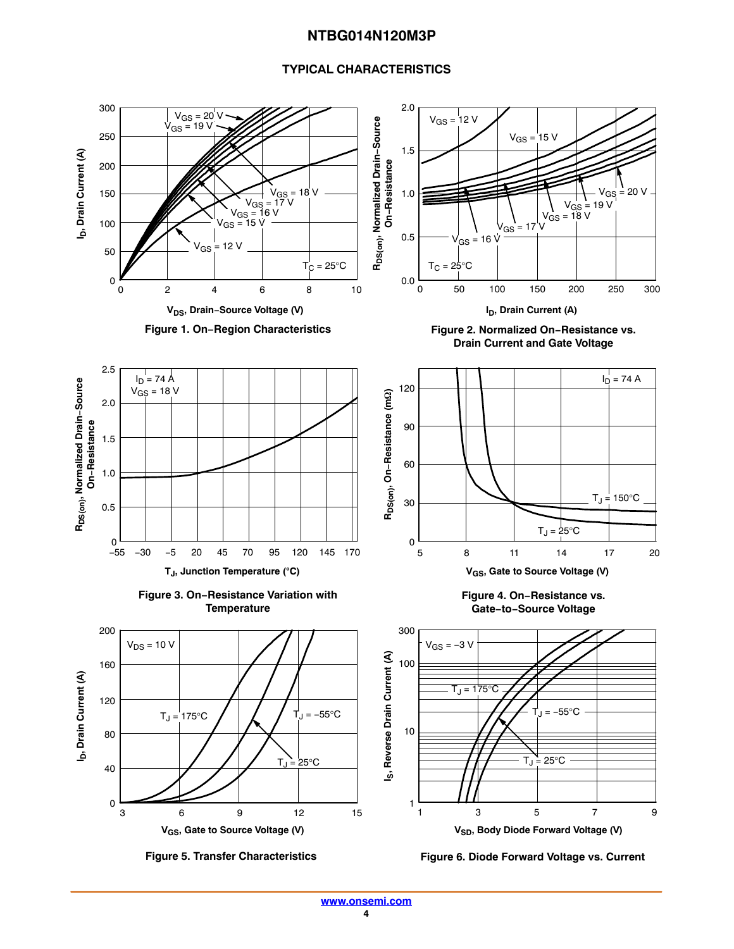#### **TYPICAL CHARACTERISTICS**

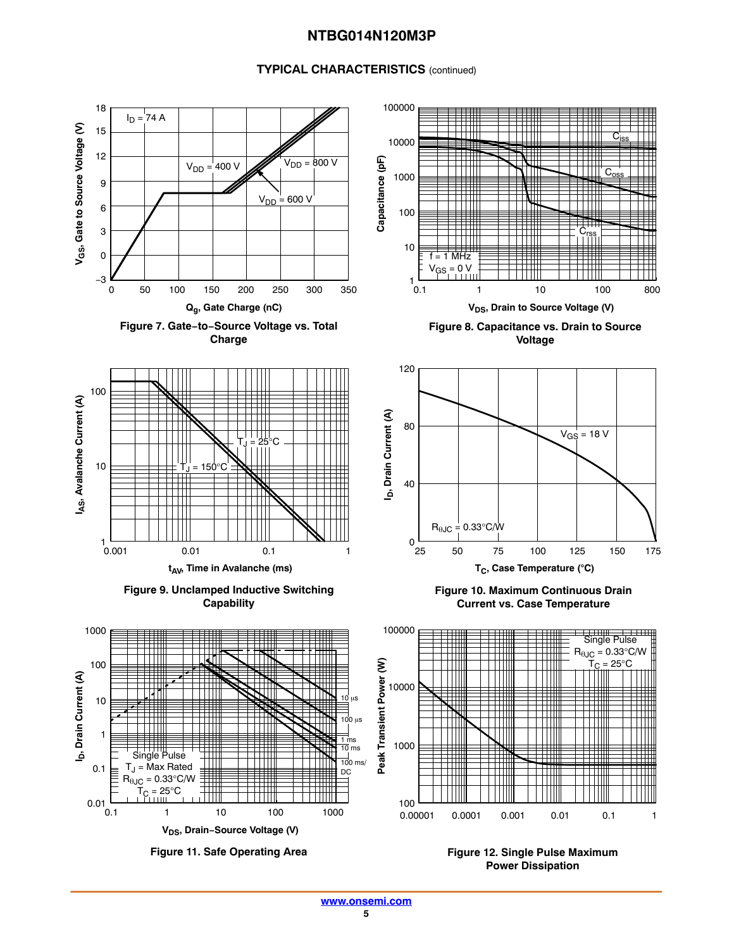#### **TYPICAL CHARACTERISTICS** (continued)















**Figure 8. Capacitance vs. Drain to Source Voltage**



**Figure 10. Maximum Continuous Drain Current vs. Case Temperature**



**Figure 11. Safe Operating Area Figure 12. Single Pulse Maximum Power Dissipation**